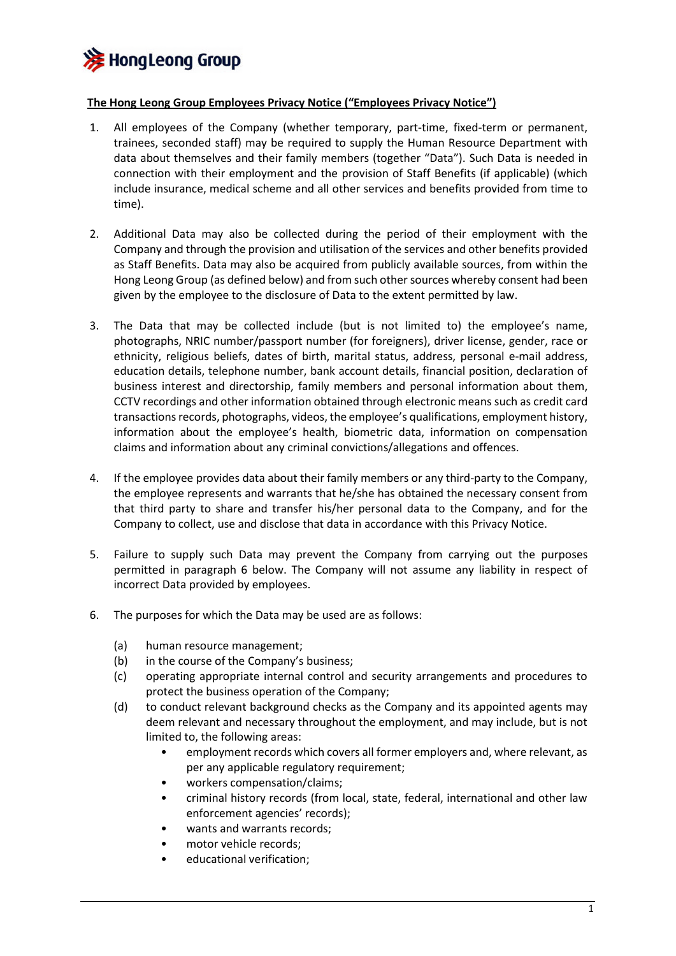

## **The Hong Leong Group Employees Privacy Notice ("Employees Privacy Notice")**

- 1. All employees of the Company (whether temporary, part-time, fixed-term or permanent, trainees, seconded staff) may be required to supply the Human Resource Department with data about themselves and their family members (together "Data"). Such Data is needed in connection with their employment and the provision of Staff Benefits (if applicable) (which include insurance, medical scheme and all other services and benefits provided from time to time).
- 2. Additional Data may also be collected during the period of their employment with the Company and through the provision and utilisation of the services and other benefits provided as Staff Benefits. Data may also be acquired from publicly available sources, from within the Hong Leong Group (as defined below) and from such other sources whereby consent had been given by the employee to the disclosure of Data to the extent permitted by law.
- 3. The Data that may be collected include (but is not limited to) the employee's name, photographs, NRIC number/passport number (for foreigners), driver license, gender, race or ethnicity, religious beliefs, dates of birth, marital status, address, personal e-mail address, education details, telephone number, bank account details, financial position, declaration of business interest and directorship, family members and personal information about them, CCTV recordings and other information obtained through electronic means such as credit card transactions records, photographs, videos, the employee's qualifications, employment history, information about the employee's health, biometric data, information on compensation claims and information about any criminal convictions/allegations and offences.
- 4. If the employee provides data about their family members or any third-party to the Company, the employee represents and warrants that he/she has obtained the necessary consent from that third party to share and transfer his/her personal data to the Company, and for the Company to collect, use and disclose that data in accordance with this Privacy Notice.
- 5. Failure to supply such Data may prevent the Company from carrying out the purposes permitted in paragraph 6 below. The Company will not assume any liability in respect of incorrect Data provided by employees.
- 6. The purposes for which the Data may be used are as follows:
	- (a) human resource management;
	- (b) in the course of the Company's business;
	- (c) operating appropriate internal control and security arrangements and procedures to protect the business operation of the Company;
	- (d) to conduct relevant background checks as the Company and its appointed agents may deem relevant and necessary throughout the employment, and may include, but is not limited to, the following areas:
		- employment records which covers all former employers and, where relevant, as per any applicable regulatory requirement;
		- workers compensation/claims;
		- criminal history records (from local, state, federal, international and other law enforcement agencies' records);
		- wants and warrants records;
		- motor vehicle records;
		- educational verification;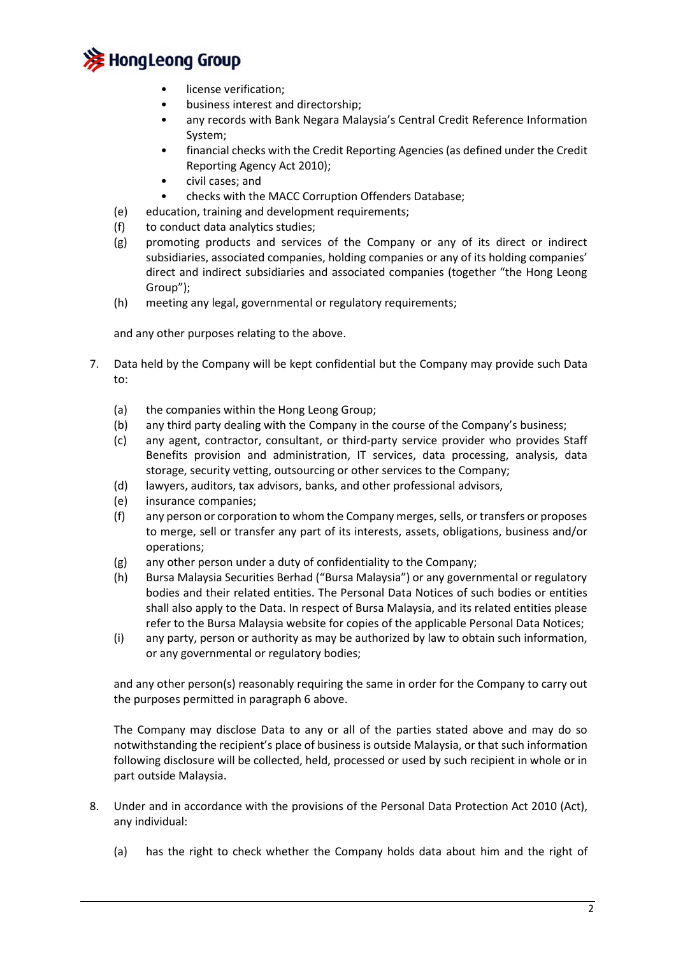

- license verification;
- business interest and directorship;
- any records with Bank Negara Malaysia's Central Credit Reference Information System;
- financial checks with the Credit Reporting Agencies (as defined under the Credit Reporting Agency Act 2010);
- civil cases; and
- checks with the MACC Corruption Offenders Database;
- (e) education, training and development requirements;
- (f) to conduct data analytics studies;
- (g) promoting products and services of the Company or any of its direct or indirect subsidiaries, associated companies, holding companies or any of its holding companies' direct and indirect subsidiaries and associated companies (together "the Hong Leong Group");
- (h) meeting any legal, governmental or regulatory requirements;

and any other purposes relating to the above.

- 7. Data held by the Company will be kept confidential but the Company may provide such Data to:
	- (a) the companies within the Hong Leong Group;
	- (b) any third party dealing with the Company in the course of the Company's business;
	- (c) any agent, contractor, consultant, or third-party service provider who provides Staff Benefits provision and administration, IT services, data processing, analysis, data storage, security vetting, outsourcing or other services to the Company;
	- (d) lawyers, auditors, tax advisors, banks, and other professional advisors,
	- (e) insurance companies;
	- (f) any person or corporation to whom the Company merges, sells, or transfers or proposes to merge, sell or transfer any part of its interests, assets, obligations, business and/or operations;
	- (g) any other person under a duty of confidentiality to the Company;
	- (h) Bursa Malaysia Securities Berhad ("Bursa Malaysia") or any governmental or regulatory bodies and their related entities. The Personal Data Notices of such bodies or entities shall also apply to the Data. In respect of Bursa Malaysia, and its related entities please refer to the Bursa Malaysia website for copies of the applicable Personal Data Notices;
	- (i) any party, person or authority as may be authorized by law to obtain such information, or any governmental or regulatory bodies;

and any other person(s) reasonably requiring the same in order for the Company to carry out the purposes permitted in paragraph 6 above.

The Company may disclose Data to any or all of the parties stated above and may do so notwithstanding the recipient's place of business is outside Malaysia, or that such information following disclosure will be collected, held, processed or used by such recipient in whole or in part outside Malaysia.

- 8. Under and in accordance with the provisions of the Personal Data Protection Act 2010 (Act), any individual:
	- (a) has the right to check whether the Company holds data about him and the right of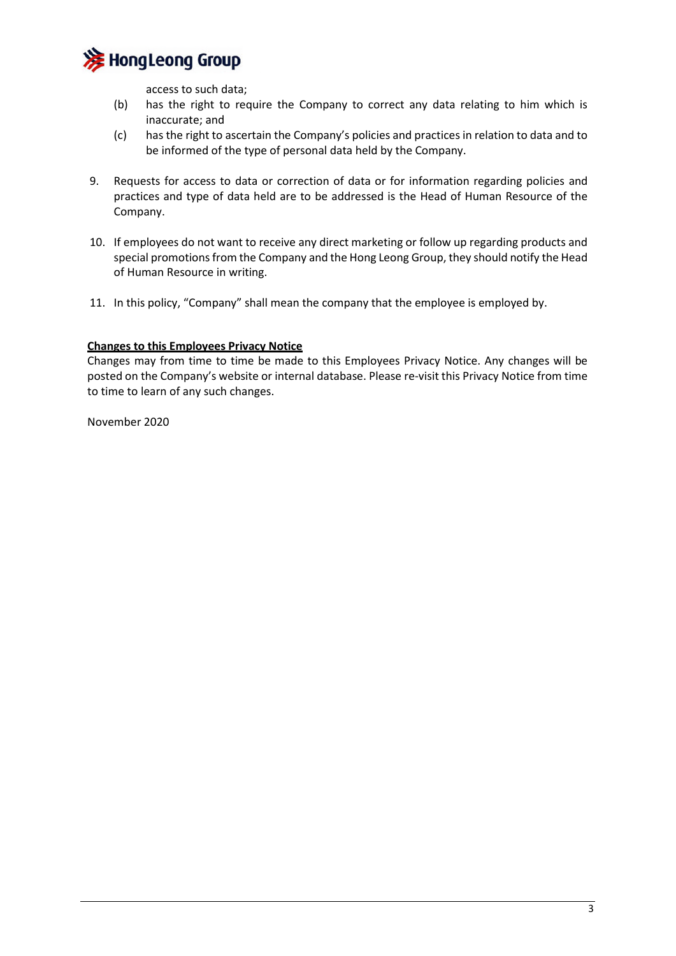

access to such data;

- (b) has the right to require the Company to correct any data relating to him which is inaccurate; and
- (c) has the right to ascertain the Company's policies and practices in relation to data and to be informed of the type of personal data held by the Company.
- 9. Requests for access to data or correction of data or for information regarding policies and practices and type of data held are to be addressed is the Head of Human Resource of the Company.
- 10. If employees do not want to receive any direct marketing or follow up regarding products and special promotions from the Company and the Hong Leong Group, they should notify the Head of Human Resource in writing.
- 11. In this policy, "Company" shall mean the company that the employee is employed by.

## **Changes to this Employees Privacy Notice**

Changes may from time to time be made to this Employees Privacy Notice. Any changes will be posted on the Company's website or internal database. Please re-visit this Privacy Notice from time to time to learn of any such changes.

November 2020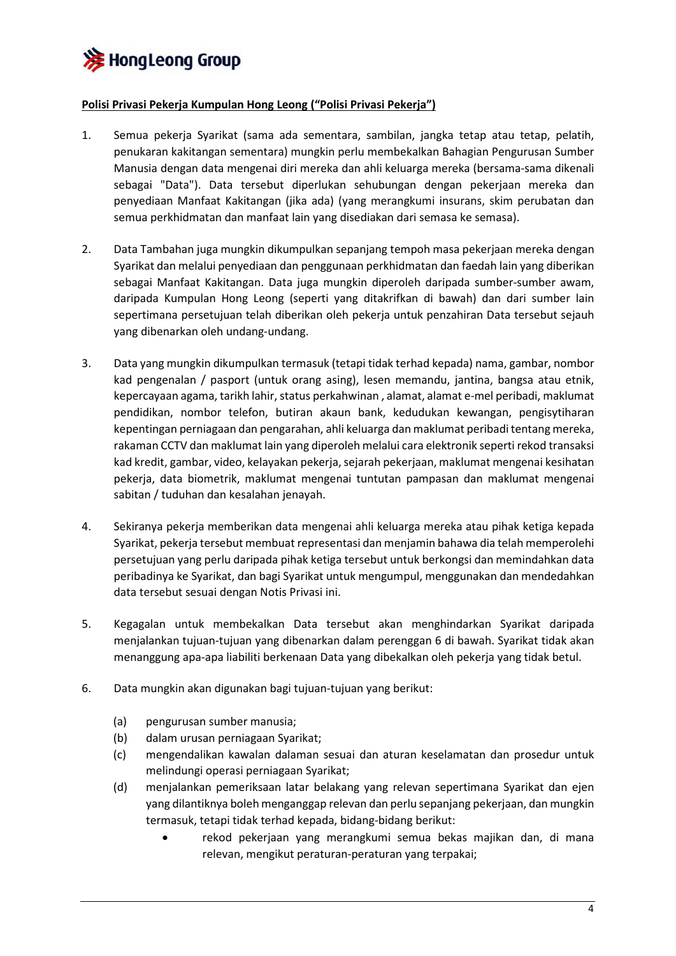

## **Polisi Privasi Pekerja Kumpulan Hong Leong ("Polisi Privasi Pekerja")**

- 1. Semua pekerja Syarikat (sama ada sementara, sambilan, jangka tetap atau tetap, pelatih, penukaran kakitangan sementara) mungkin perlu membekalkan Bahagian Pengurusan Sumber Manusia dengan data mengenai diri mereka dan ahli keluarga mereka (bersama-sama dikenali sebagai "Data"). Data tersebut diperlukan sehubungan dengan pekerjaan mereka dan penyediaan Manfaat Kakitangan (jika ada) (yang merangkumi insurans, skim perubatan dan semua perkhidmatan dan manfaat lain yang disediakan dari semasa ke semasa).
- 2. Data Tambahan juga mungkin dikumpulkan sepanjang tempoh masa pekerjaan mereka dengan Syarikat dan melalui penyediaan dan penggunaan perkhidmatan dan faedah lain yang diberikan sebagai Manfaat Kakitangan. Data juga mungkin diperoleh daripada sumber-sumber awam, daripada Kumpulan Hong Leong (seperti yang ditakrifkan di bawah) dan dari sumber lain sepertimana persetujuan telah diberikan oleh pekerja untuk penzahiran Data tersebut sejauh yang dibenarkan oleh undang-undang.
- 3. Data yang mungkin dikumpulkan termasuk (tetapi tidak terhad kepada) nama, gambar, nombor kad pengenalan / pasport (untuk orang asing), lesen memandu, jantina, bangsa atau etnik, kepercayaan agama, tarikh lahir, status perkahwinan , alamat, alamat e-mel peribadi, maklumat pendidikan, nombor telefon, butiran akaun bank, kedudukan kewangan, pengisytiharan kepentingan perniagaan dan pengarahan, ahli keluarga dan maklumat peribadi tentang mereka, rakaman CCTV dan maklumat lain yang diperoleh melalui cara elektronik seperti rekod transaksi kad kredit, gambar, video, kelayakan pekerja, sejarah pekerjaan, maklumat mengenai kesihatan pekerja, data biometrik, maklumat mengenai tuntutan pampasan dan maklumat mengenai sabitan / tuduhan dan kesalahan jenayah.
- 4. Sekiranya pekerja memberikan data mengenai ahli keluarga mereka atau pihak ketiga kepada Syarikat, pekerja tersebut membuat representasi dan menjamin bahawa dia telah memperolehi persetujuan yang perlu daripada pihak ketiga tersebut untuk berkongsi dan memindahkan data peribadinya ke Syarikat, dan bagi Syarikat untuk mengumpul, menggunakan dan mendedahkan data tersebut sesuai dengan Notis Privasi ini.
- 5. Kegagalan untuk membekalkan Data tersebut akan menghindarkan Syarikat daripada menjalankan tujuan-tujuan yang dibenarkan dalam perenggan 6 di bawah. Syarikat tidak akan menanggung apa-apa liabiliti berkenaan Data yang dibekalkan oleh pekerja yang tidak betul.
- 6. Data mungkin akan digunakan bagi tujuan-tujuan yang berikut:
	- (a) pengurusan sumber manusia;
	- (b) dalam urusan perniagaan Syarikat;
	- (c) mengendalikan kawalan dalaman sesuai dan aturan keselamatan dan prosedur untuk melindungi operasi perniagaan Syarikat;
	- (d) menjalankan pemeriksaan latar belakang yang relevan sepertimana Syarikat dan ejen yang dilantiknya boleh menganggap relevan dan perlu sepanjang pekerjaan, dan mungkin termasuk, tetapi tidak terhad kepada, bidang-bidang berikut:
		- rekod pekerjaan yang merangkumi semua bekas majikan dan, di mana relevan, mengikut peraturan-peraturan yang terpakai;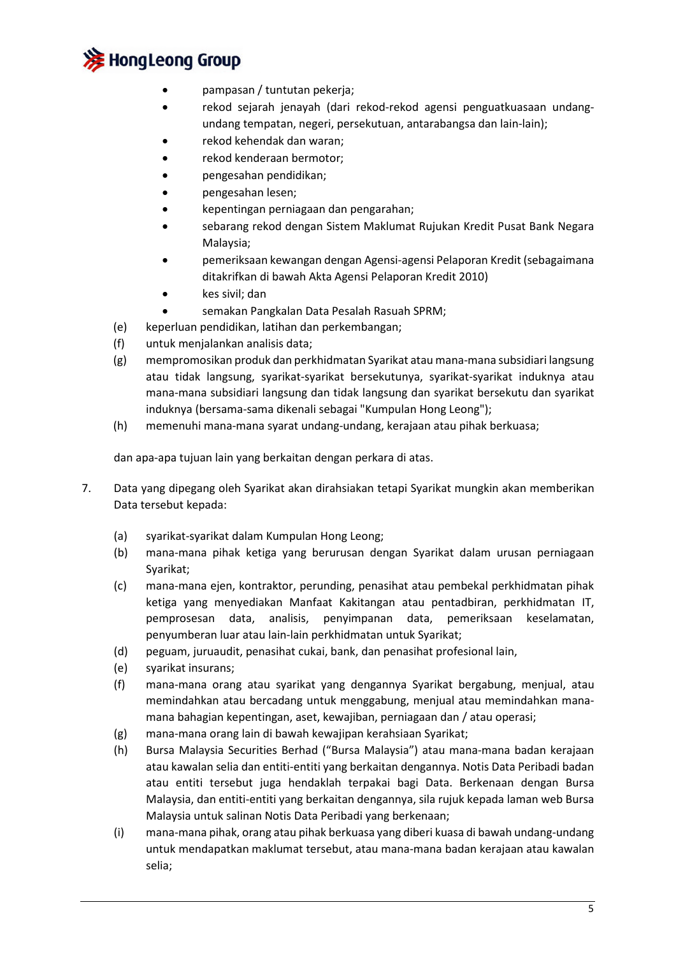

- pampasan / tuntutan pekerja;
- rekod sejarah jenayah (dari rekod-rekod agensi penguatkuasaan undangundang tempatan, negeri, persekutuan, antarabangsa dan lain-lain);
- rekod kehendak dan waran;
- rekod kenderaan bermotor;
- pengesahan pendidikan;
- pengesahan lesen;
- kepentingan perniagaan dan pengarahan;
- sebarang rekod dengan Sistem Maklumat Rujukan Kredit Pusat Bank Negara Malaysia;
- pemeriksaan kewangan dengan Agensi-agensi Pelaporan Kredit (sebagaimana ditakrifkan di bawah Akta Agensi Pelaporan Kredit 2010)
- kes sivil; dan
- semakan Pangkalan Data Pesalah Rasuah SPRM;
- (e) keperluan pendidikan, latihan dan perkembangan;
- (f) untuk menjalankan analisis data;
- (g) mempromosikan produk dan perkhidmatan Syarikat atau mana-mana subsidiari langsung atau tidak langsung, syarikat-syarikat bersekutunya, syarikat-syarikat induknya atau mana-mana subsidiari langsung dan tidak langsung dan syarikat bersekutu dan syarikat induknya (bersama-sama dikenali sebagai "Kumpulan Hong Leong");
- (h) memenuhi mana-mana syarat undang-undang, kerajaan atau pihak berkuasa;

dan apa-apa tujuan lain yang berkaitan dengan perkara di atas.

- 7. Data yang dipegang oleh Syarikat akan dirahsiakan tetapi Syarikat mungkin akan memberikan Data tersebut kepada:
	- (a) syarikat-syarikat dalam Kumpulan Hong Leong;
	- (b) mana-mana pihak ketiga yang berurusan dengan Syarikat dalam urusan perniagaan Syarikat;
	- (c) mana-mana ejen, kontraktor, perunding, penasihat atau pembekal perkhidmatan pihak ketiga yang menyediakan Manfaat Kakitangan atau pentadbiran, perkhidmatan IT, pemprosesan data, analisis, penyimpanan data, pemeriksaan keselamatan, penyumberan luar atau lain-lain perkhidmatan untuk Syarikat;
	- (d) peguam, juruaudit, penasihat cukai, bank, dan penasihat profesional lain,
	- (e) syarikat insurans;
	- (f) mana-mana orang atau syarikat yang dengannya Syarikat bergabung, menjual, atau memindahkan atau bercadang untuk menggabung, menjual atau memindahkan manamana bahagian kepentingan, aset, kewajiban, perniagaan dan / atau operasi;
	- (g) mana-mana orang lain di bawah kewajipan kerahsiaan Syarikat;
	- (h) Bursa Malaysia Securities Berhad ("Bursa Malaysia") atau mana-mana badan kerajaan atau kawalan selia dan entiti-entiti yang berkaitan dengannya. Notis Data Peribadi badan atau entiti tersebut juga hendaklah terpakai bagi Data. Berkenaan dengan Bursa Malaysia, dan entiti-entiti yang berkaitan dengannya, sila rujuk kepada laman web Bursa Malaysia untuk salinan Notis Data Peribadi yang berkenaan;
	- (i) mana-mana pihak, orang atau pihak berkuasa yang diberi kuasa di bawah undang-undang untuk mendapatkan maklumat tersebut, atau mana-mana badan kerajaan atau kawalan selia;